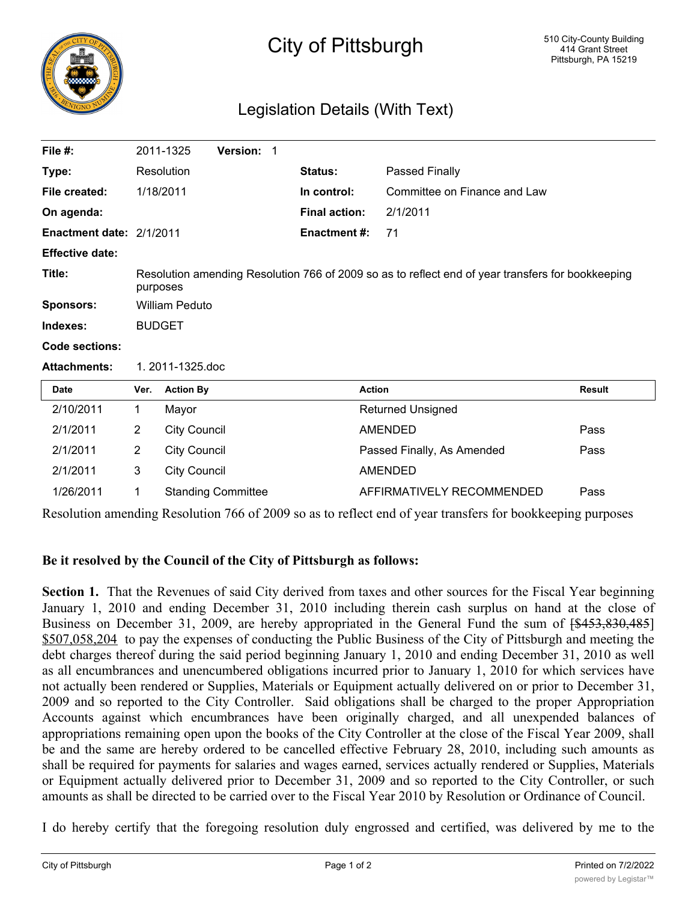

## City of Pittsburgh

## Legislation Details (With Text)

| File $#$ :               |                                                                                                               | 2011-1325           | Version: 1                |  |                      |                              |               |  |
|--------------------------|---------------------------------------------------------------------------------------------------------------|---------------------|---------------------------|--|----------------------|------------------------------|---------------|--|
| Type:                    |                                                                                                               | Resolution          |                           |  | <b>Status:</b>       | Passed Finally               |               |  |
| File created:            | 1/18/2011                                                                                                     |                     |                           |  | In control:          | Committee on Finance and Law |               |  |
| On agenda:               |                                                                                                               |                     |                           |  | <b>Final action:</b> | 2/1/2011                     |               |  |
| Enactment date: 2/1/2011 |                                                                                                               |                     |                           |  | <b>Enactment #:</b>  | 71                           |               |  |
| <b>Effective date:</b>   |                                                                                                               |                     |                           |  |                      |                              |               |  |
| Title:                   | Resolution amending Resolution 766 of 2009 so as to reflect end of year transfers for bookkeeping<br>purposes |                     |                           |  |                      |                              |               |  |
| <b>Sponsors:</b>         | <b>William Peduto</b>                                                                                         |                     |                           |  |                      |                              |               |  |
| Indexes:                 | <b>BUDGET</b>                                                                                                 |                     |                           |  |                      |                              |               |  |
| Code sections:           |                                                                                                               |                     |                           |  |                      |                              |               |  |
| <b>Attachments:</b>      | 1. 2011-1325.doc                                                                                              |                     |                           |  |                      |                              |               |  |
| Date                     | Ver.                                                                                                          | <b>Action By</b>    |                           |  |                      | <b>Action</b>                | <b>Result</b> |  |
| 2/10/2011                | 1                                                                                                             | Mayor               |                           |  |                      | <b>Returned Unsigned</b>     |               |  |
| 2/1/2011                 | $\overline{2}$                                                                                                | <b>City Council</b> |                           |  |                      | <b>AMENDED</b>               | Pass          |  |
| 2/1/2011                 | $\overline{2}$                                                                                                | <b>City Council</b> |                           |  |                      | Passed Finally, As Amended   | Pass          |  |
| 2/1/2011                 | 3                                                                                                             | <b>City Council</b> |                           |  |                      | <b>AMENDED</b>               |               |  |
| 1/26/2011                | 1                                                                                                             |                     | <b>Standing Committee</b> |  |                      | AFFIRMATIVELY RECOMMENDED    | Pass          |  |

Resolution amending Resolution 766 of 2009 so as to reflect end of year transfers for bookkeeping purposes

## **Be it resolved by the Council of the City of Pittsburgh as follows:**

**Section 1.** That the Revenues of said City derived from taxes and other sources for the Fiscal Year beginning January 1, 2010 and ending December 31, 2010 including therein cash surplus on hand at the close of Business on December 31, 2009, are hereby appropriated in the General Fund the sum of  $[$453,830,485]$ \$507,058,204 to pay the expenses of conducting the Public Business of the City of Pittsburgh and meeting the debt charges thereof during the said period beginning January 1, 2010 and ending December 31, 2010 as well as all encumbrances and unencumbered obligations incurred prior to January 1, 2010 for which services have not actually been rendered or Supplies, Materials or Equipment actually delivered on or prior to December 31, 2009 and so reported to the City Controller. Said obligations shall be charged to the proper Appropriation Accounts against which encumbrances have been originally charged, and all unexpended balances of appropriations remaining open upon the books of the City Controller at the close of the Fiscal Year 2009, shall be and the same are hereby ordered to be cancelled effective February 28, 2010, including such amounts as shall be required for payments for salaries and wages earned, services actually rendered or Supplies, Materials or Equipment actually delivered prior to December 31, 2009 and so reported to the City Controller, or such amounts as shall be directed to be carried over to the Fiscal Year 2010 by Resolution or Ordinance of Council.

I do hereby certify that the foregoing resolution duly engrossed and certified, was delivered by me to the